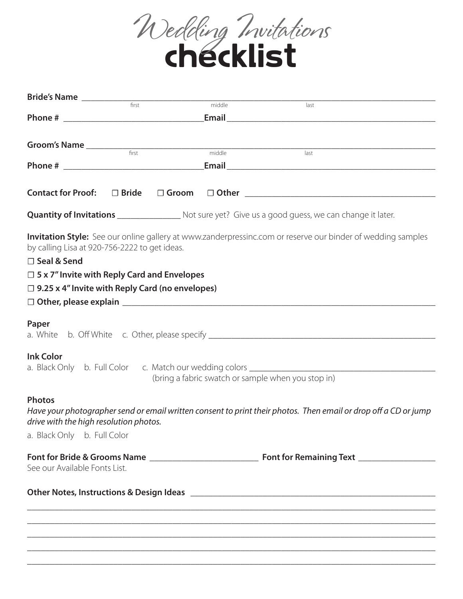

| <b>Bride's Name</b>                                                       |  |        |                                                                                                                 |
|---------------------------------------------------------------------------|--|--------|-----------------------------------------------------------------------------------------------------------------|
|                                                                           |  | middle | last                                                                                                            |
|                                                                           |  |        |                                                                                                                 |
|                                                                           |  |        |                                                                                                                 |
|                                                                           |  | middle | $\overline{last}$                                                                                               |
|                                                                           |  |        |                                                                                                                 |
| <b>Contact for Proof:</b>                                                 |  |        |                                                                                                                 |
|                                                                           |  |        | <b>Quantity of Invitations</b> ____________________ Not sure yet? Give us a good guess, we can change it later. |
| by calling Lisa at 920-756-2222 to get ideas.                             |  |        | Invitation Style: See our online gallery at www.zanderpressinc.com or reserve our binder of wedding samples     |
| □ Seal & Send                                                             |  |        |                                                                                                                 |
| $\Box$ 5 x 7" Invite with Reply Card and Envelopes                        |  |        |                                                                                                                 |
| $\Box$ 9.25 x 4" Invite with Reply Card (no envelopes)                    |  |        |                                                                                                                 |
|                                                                           |  |        |                                                                                                                 |
| Paper<br><b>Ink Color</b>                                                 |  |        |                                                                                                                 |
| a. Black Only b. Full Color c. Match our wedding colors _________________ |  |        |                                                                                                                 |
|                                                                           |  |        | (bring a fabric swatch or sample when you stop in)                                                              |
| <b>Photos</b><br>drive with the high resolution photos.                   |  |        | Have your photographer send or email written consent to print their photos. Then email or drop off a CD or jump |
| a. Black Only b. Full Color                                               |  |        |                                                                                                                 |
| See our Available Fonts List.                                             |  |        |                                                                                                                 |
|                                                                           |  |        |                                                                                                                 |
|                                                                           |  |        |                                                                                                                 |
|                                                                           |  |        |                                                                                                                 |
|                                                                           |  |        |                                                                                                                 |

\_\_\_\_\_\_\_\_\_\_\_\_\_\_\_\_\_\_\_\_\_\_\_\_\_\_\_\_\_\_\_\_\_\_\_\_\_\_\_\_\_\_\_\_\_\_\_\_\_\_\_\_\_\_\_\_\_\_\_\_\_\_\_\_\_\_\_\_\_\_\_\_\_\_\_\_\_\_\_\_\_\_\_\_\_\_\_\_\_\_